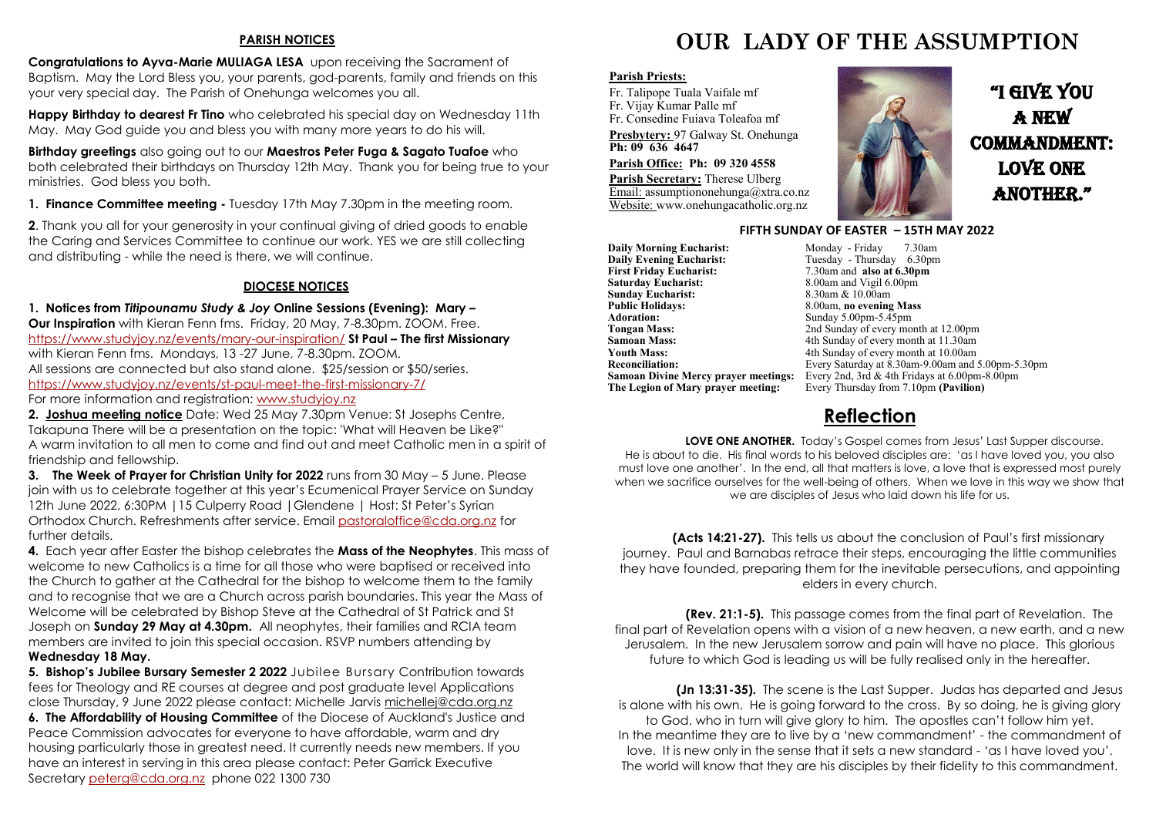#### **PARISH NOTICES**

**Congratulations to Ayva-Marie MULIAGA LESA** upon receiving the Sacrament of Baptism. May the Lord Bless you, your parents, god-parents, family and friends on this your very special day. The Parish of Onehunga welcomes you all.

**Happy Birthday to dearest Fr Tino** who celebrated his special day on Wednesday 11th May. May God guide you and bless you with many more years to do his will.

**Birthday greetings** also going out to our **Maestros Peter Fuga & Sagato Tuafoe** who both celebrated their birthdays on Thursday 12th May. Thank you for being true to your ministries. God bless you both.

**1. Finance Committee meeting -** Tuesday 17th May 7.30pm in the meeting room.

**2**. Thank you all for your generosity in your continual giving of dried goods to enable the Caring and Services Committee to continue our work. YES we are still collecting and distributing - while the need is there, we will continue.

### **DIOCESE NOTICES**

**1. Notices from** *Titipounamu Study & Joy* **Online Sessions (Evening): Mary – Our Inspiration** with Kieran Fenn fms. Friday, 20 May, 7-8.30pm. ZOOM. Free. <https://www.studyjoy.nz/events/mary-our-inspiration/> **St Paul – The first Missionary** with Kieran Fenn fms. Mondays, 13 -27 June, 7-8.30pm. ZOOM. All sessions are connected but also stand alone. \$25/session or \$50/series. <https://www.studyjoy.nz/events/st-paul-meet-the-first-missionary-7/>

For more information and registration: [www.studyjoy.nz](http://www.studyjoy.nz/)

**2. Joshua meeting notice** Date: Wed 25 May 7.30pm Venue: St Josephs Centre, Takapuna There will be a presentation on the topic: 'What will Heaven be Like?" A warm invitation to all men to come and find out and meet Catholic men in a spirit of friendship and fellowship.

**3. The Week of Prayer for Christian Unity for 2022** runs from 30 May – 5 June. Please join with us to celebrate together at this year's Ecumenical Prayer Service on Sunday 12th June 2022, 6:30PM |15 Culperry Road |Glendene | Host: St Peter's Syrian Orthodox Church. Refreshments after service. Email [pastoraloffice@cda.org.nz](mailto:pastoraloffice@cda.org.nz) for further details.

**4.** Each year after Easter the bishop celebrates the **Mass of the Neophytes**. This mass of welcome to new Catholics is a time for all those who were baptised or received into the Church to gather at the Cathedral for the bishop to welcome them to the family and to recognise that we are a Church across parish boundaries. This year the Mass of Welcome will be celebrated by Bishop Steve at the Cathedral of St Patrick and St Joseph on **Sunday 29 May at 4.30pm.** All neophytes, their families and RCIA team members are invited to join this special occasion. RSVP numbers attending by **Wednesday 18 May.** 

**5. Bishop's Jubilee Bursary Semester 2 2022** Jubilee Bursary Contribution towards fees for Theology and RE courses at degree and post graduate level Applications close Thursday, 9 June 2022 please contact: Michelle Jarvis [michellej@cda.org.nz](mailto:michellej@cda.org.nz)

**6. The Affordability of Housing Committee** of the Diocese of Auckland's Justice and Peace Commission advocates for everyone to have affordable, warm and dry housing particularly those in greatest need. It currently needs new members. If you have an interest in serving in this area please contact: Peter Garrick Executive Secretary [peterg@cda.org.nz](mailto:peterg@cda.org.nz) phone 022 1300 730

# **OUR LADY OF THE ASSUMPTION**

#### **Parish Priests:**

Fr. Talipope Tuala Vaifale mf Fr. Vijay Kumar Palle mf Fr. Consedine Fuiava Toleafoa mf

**Presbytery:** 97 Galway St. Onehunga **Ph: 09 636 4647** 

#### **Parish Office: Ph: 09 320 4558**

**Parish Secretary:** Therese Ulberg Email: assumptiononehunga@xtra.co.nz Website: www.onehungacatholic.org.nz



"I gIve you a new commandment: love one ANOTHER."



#### **FIFTH SUNDAY OF EASTER – 15TH MAY 2022**

**Daily Morning Eucharist: Monday - Friday 7.30am**<br> **Daily Evening Eucharist:** Tuesday - Thursday 6.30pm **Daily Evening Eucharist:** Tuesday - Thursday 6.30pm<br>First Friday Eucharist: 7.30am and also at 6.30pm **First Friday Eucharist:** 7.30am and **also at 6.30pm**<br>**Saturday Eucharist:** 8.00am and Vigil 6.00pm **Sunday Eucharist:**<br>Public Holidays: **Public Holidays:** 8.00am, **no evening Mass**<br>**Adoration:** Sunday 5.00pm-5.45pm **Adoration:** Sunday 5.00pm-5.45pm<br> **Tongan Mass:** 2nd Sunday of every mo **Tongan Mass:** 2nd Sunday of every month at 12.00pm<br> **Samoan Mass:** 4th Sunday of every month at 11.30am **Samoan Mass:** 4th Sunday of every month at 11.30am<br> **Youth Mass:** 4th Sunday of every month at 10.00am **Youth Mass:** 4th Sunday of every month at 10.00am<br> **Reconciliation:** Every Saturday at 8.30am-9.00am and :

8.00am and Vigil 6.00pm<br>8.30am & 10.00am **Reconciliation:** Every Saturday at 8.30am-9.00am and 5.00pm-5.30pm **Samoan Divine Mercy prayer meetings:** Every 2nd, 3rd & 4th Fridays at 6.00pm-8.00pm<br>**The Legion of Mary prayer meeting:** Every Thursday from 7.10pm (Pavilion) Every Thursday from 7.10pm **(Pavilion)** 

# **Reflection**

**LOVE ONE ANOTHER.** Today's Gospel comes from Jesus' Last Supper discourse. He is about to die. His final words to his beloved disciples are: 'as I have loved you, you also must love one another'. In the end, all that matters is love, a love that is expressed most purely when we sacrifice ourselves for the well-being of others. When we love in this way we show that we are disciples of Jesus who laid down his life for us.

 **(Acts 14:21-27).** This tells us about the conclusion of Paul's first missionary journey. Paul and Barnabas retrace their steps, encouraging the little communities they have founded, preparing them for the inevitable persecutions, and appointing elders in every church.

 **(Rev. 21:1-5).** This passage comes from the final part of Revelation. The final part of Revelation opens with a vision of a new heaven, a new earth, and a new Jerusalem. In the new Jerusalem sorrow and pain will have no place. This glorious future to which God is leading us will be fully realised only in the hereafter.

 **(Jn 13:31-35).** The scene is the Last Supper. Judas has departed and Jesus is alone with his own. He is going forward to the cross. By so doing, he is giving glory to God, who in turn will give glory to him. The apostles can't follow him yet. In the meantime they are to live by a 'new commandment' - the commandment of love. It is new only in the sense that it sets a new standard - 'as I have loved you'. The world will know that they are his disciples by their fidelity to this commandment.